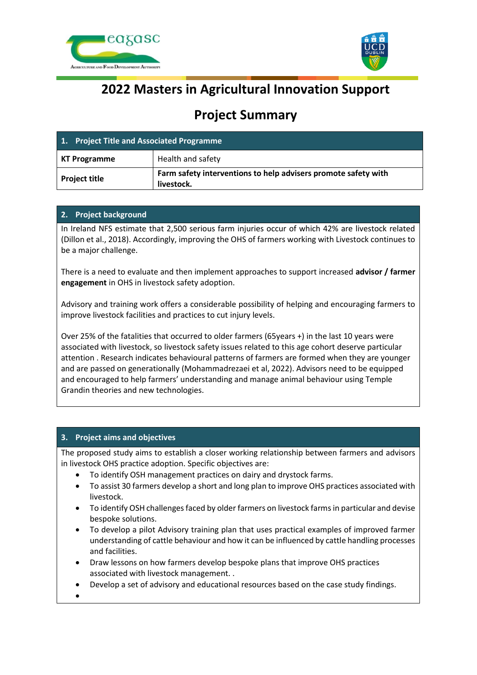



# **2022 Masters in Agricultural Innovation Support**

# **Project Summary**

| 1. Project Title and Associated Programme |                                                                              |
|-------------------------------------------|------------------------------------------------------------------------------|
| KT Programme                              | Health and safety                                                            |
| <b>Project title</b>                      | Farm safety interventions to help advisers promote safety with<br>livestock. |

## **2. Project background**

In Ireland NFS estimate that 2,500 serious farm injuries occur of which 42% are livestock related (Dillon et al., 2018). Accordingly, improving the OHS of farmers working with Livestock continues to be a major challenge.

There is a need to evaluate and then implement approaches to support increased **advisor / farmer engagement** in OHS in livestock safety adoption.

Advisory and training work offers a considerable possibility of helping and encouraging farmers to improve livestock facilities and practices to cut injury levels.

Over 25% of the fatalities that occurred to older farmers (65years +) in the last 10 years were associated with livestock, so livestock safety issues related to this age cohort deserve particular attention . Research indicates behavioural patterns of farmers are formed when they are younger and are passed on generationally (Mohammadrezaei et al, 2022). Advisors need to be equipped and encouraged to help farmers' understanding and manage animal behaviour using Temple Grandin theories and new technologies.

## **3. Project aims and objectives**

The proposed study aims to establish a closer working relationship between farmers and advisors in livestock OHS practice adoption. Specific objectives are:

- To identify OSH management practices on dairy and drystock farms.
- To assist 30 farmers develop a short and long plan to improve OHS practices associated with livestock.
- To identify OSH challenges faced by older farmers on livestock farms in particular and devise bespoke solutions.
- To develop a pilot Advisory training plan that uses practical examples of improved farmer understanding of cattle behaviour and how it can be influenced by cattle handling processes and facilities.
- Draw lessons on how farmers develop bespoke plans that improve OHS practices associated with livestock management. .
- Develop a set of advisory and educational resources based on the case study findings.

•